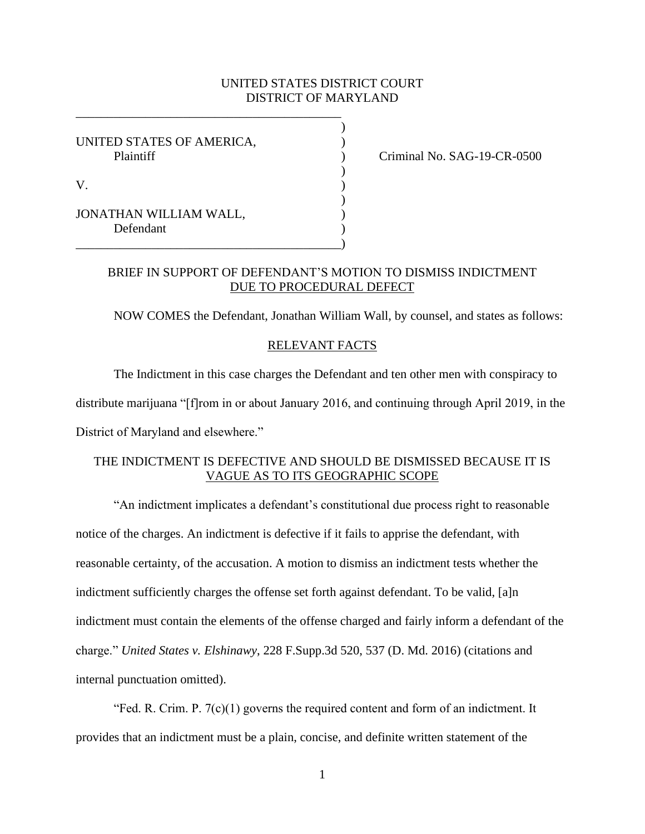### UNITED STATES DISTRICT COURT DISTRICT OF MARYLAND

)

)

)

UNITED STATES OF AMERICA,  $($ 

\_\_\_\_\_\_\_\_\_\_\_\_\_\_\_\_\_\_\_\_\_\_\_\_\_\_\_\_\_\_\_\_\_\_\_\_\_\_\_\_\_\_

\_\_\_\_\_\_\_\_\_\_\_\_\_\_\_\_\_\_\_\_\_\_\_\_\_\_\_\_\_\_\_\_\_\_\_\_\_\_\_\_\_\_)

JONATHAN WILLIAM WALL, Defendant

Plaintiff (Plaintiff ) Criminal No. SAG-19-CR-0500

# BRIEF IN SUPPORT OF DEFENDANT'S MOTION TO DISMISS INDICTMENT DUE TO PROCEDURAL DEFECT

NOW COMES the Defendant, Jonathan William Wall, by counsel, and states as follows:

#### RELEVANT FACTS

The Indictment in this case charges the Defendant and ten other men with conspiracy to distribute marijuana "[f]rom in or about January 2016, and continuing through April 2019, in the

District of Maryland and elsewhere."

# THE INDICTMENT IS DEFECTIVE AND SHOULD BE DISMISSED BECAUSE IT IS VAGUE AS TO ITS GEOGRAPHIC SCOPE

"An indictment implicates a defendant's constitutional due process right to reasonable notice of the charges. An indictment is defective if it fails to apprise the defendant, with reasonable certainty, of the accusation. A motion to dismiss an indictment tests whether the indictment sufficiently charges the offense set forth against defendant. To be valid, [a]n indictment must contain the elements of the offense charged and fairly inform a defendant of the charge." *United States v. Elshinawy*, 228 F.Supp.3d 520, 537 (D. Md. 2016) (citations and internal punctuation omitted).

"Fed. R. Crim. P.  $7(c)(1)$  governs the required content and form of an indictment. It provides that an indictment must be a plain, concise, and definite written statement of the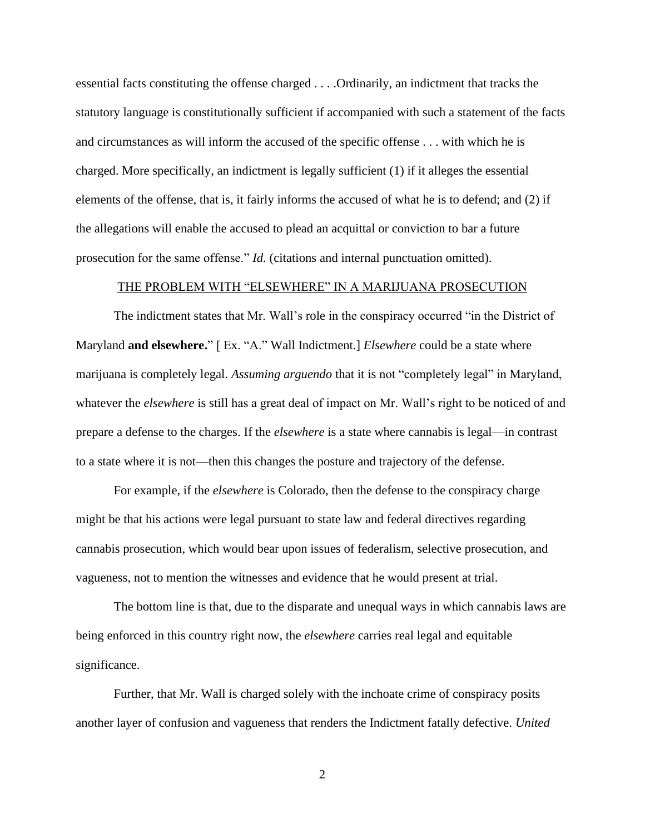essential facts constituting the offense charged . . . .Ordinarily, an indictment that tracks the statutory language is constitutionally sufficient if accompanied with such a statement of the facts and circumstances as will inform the accused of the specific offense . . . with which he is charged. More specifically, an indictment is legally sufficient (1) if it alleges the essential elements of the offense, that is, it fairly informs the accused of what he is to defend; and (2) if the allegations will enable the accused to plead an acquittal or conviction to bar a future prosecution for the same offense." *Id.* (citations and internal punctuation omitted).

#### THE PROBLEM WITH "ELSEWHERE" IN A MARIJUANA PROSECUTION

The indictment states that Mr. Wall's role in the conspiracy occurred "in the District of Maryland **and elsewhere.**" [ Ex. "A." Wall Indictment.] *Elsewhere* could be a state where marijuana is completely legal. *Assuming arguendo* that it is not "completely legal" in Maryland, whatever the *elsewhere* is still has a great deal of impact on Mr. Wall's right to be noticed of and prepare a defense to the charges. If the *elsewhere* is a state where cannabis is legal—in contrast to a state where it is not—then this changes the posture and trajectory of the defense.

For example, if the *elsewhere* is Colorado, then the defense to the conspiracy charge might be that his actions were legal pursuant to state law and federal directives regarding cannabis prosecution, which would bear upon issues of federalism, selective prosecution, and vagueness, not to mention the witnesses and evidence that he would present at trial.

The bottom line is that, due to the disparate and unequal ways in which cannabis laws are being enforced in this country right now, the *elsewhere* carries real legal and equitable significance.

Further, that Mr. Wall is charged solely with the inchoate crime of conspiracy posits another layer of confusion and vagueness that renders the Indictment fatally defective. *United* 

2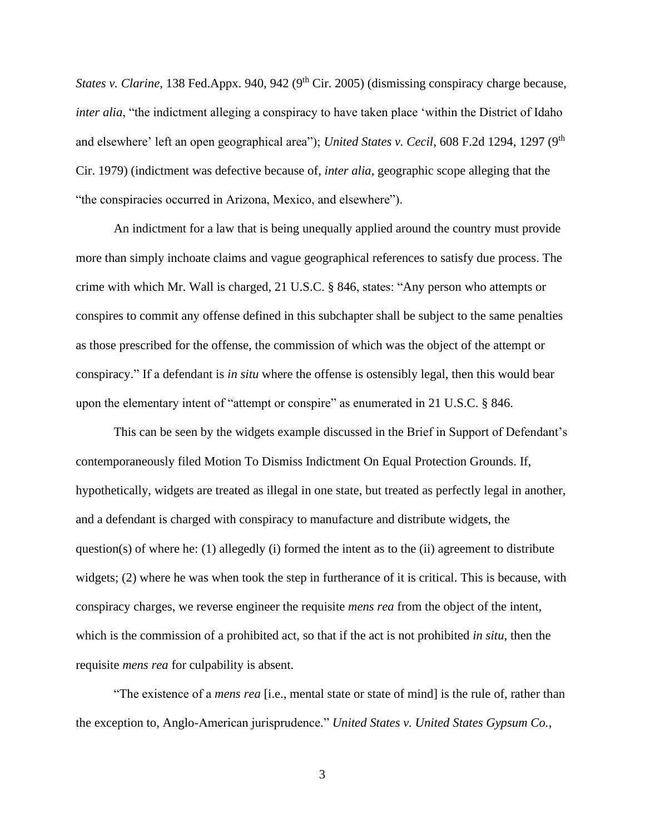*States v. Clarine*, 138 Fed.Appx. 940, 942 (9<sup>th</sup> Cir. 2005) (dismissing conspiracy charge because, *inter alia*, "the indictment alleging a conspiracy to have taken place 'within the District of Idaho and elsewhere' left an open geographical area"); *United States v. Cecil*, 608 F.2d 1294, 1297 (9<sup>th</sup> Cir. 1979) (indictment was defective because of, *inter alia*, geographic scope alleging that the "the conspiracies occurred in Arizona, Mexico, and elsewhere").

An indictment for a law that is being unequally applied around the country must provide more than simply inchoate claims and vague geographical references to satisfy due process. The crime with which Mr. Wall is charged, 21 U.S.C. § 846, states: "Any person who attempts or conspires to commit any offense defined in this subchapter shall be subject to the same penalties as those prescribed for the offense, the commission of which was the object of the attempt or conspiracy." If a defendant is *in situ* where the offense is ostensibly legal, then this would bear upon the elementary intent of "attempt or conspire" as enumerated in 21 U.S.C. § 846.

This can be seen by the widgets example discussed in the Brief in Support of Defendant's contemporaneously filed Motion To Dismiss Indictment On Equal Protection Grounds. If, hypothetically, widgets are treated as illegal in one state, but treated as perfectly legal in another, and a defendant is charged with conspiracy to manufacture and distribute widgets, the question(s) of where he: (1) allegedly (i) formed the intent as to the (ii) agreement to distribute widgets; (2) where he was when took the step in furtherance of it is critical. This is because, with conspiracy charges, we reverse engineer the requisite *mens rea* from the object of the intent, which is the commission of a prohibited act, so that if the act is not prohibited *in situ*, then the requisite *mens rea* for culpability is absent.

"The existence of a *mens rea* [i.e., mental state or state of mind] is the rule of, rather than the exception to, Anglo-American jurisprudence." *United States v. United States Gypsum Co.*,

3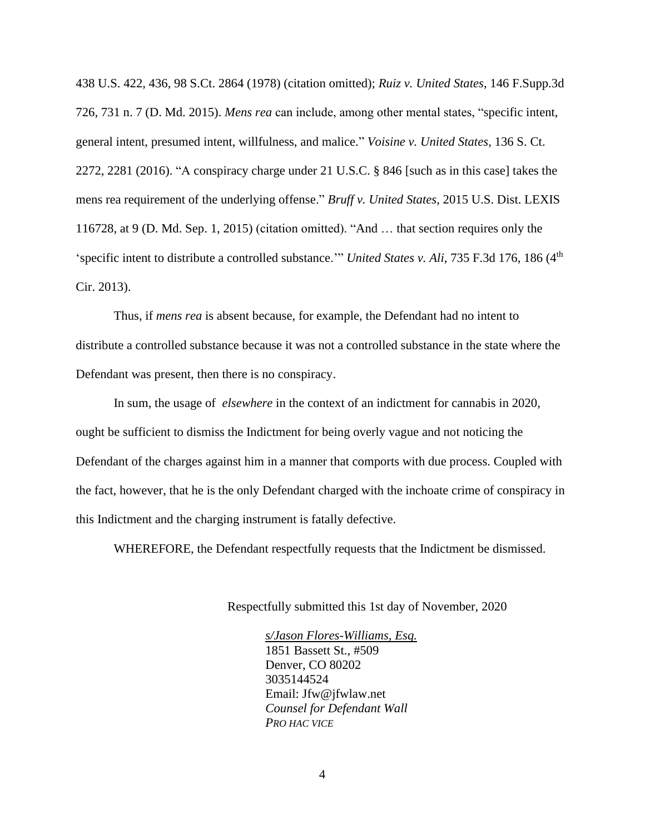438 U.S. 422, 436, 98 S.Ct. 2864 (1978) (citation omitted); *Ruiz v. United States*, 146 F.Supp.3d 726, 731 n. 7 (D. Md. 2015). *Mens rea* can include, among other mental states, "specific intent, general intent, presumed intent, willfulness, and malice." *Voisine v. United States*, 136 S. Ct. 2272, 2281 (2016). "A conspiracy charge under 21 U.S.C. § 846 [such as in this case] takes the mens rea requirement of the underlying offense." *Bruff v. United States*, 2015 U.S. Dist. LEXIS 116728, at 9 (D. Md. Sep. 1, 2015) (citation omitted). "And … that section requires only the 'specific intent to distribute a controlled substance.'" *United States v. Ali*, 735 F.3d 176, 186 (4<sup>th</sup>) Cir. 2013).

Thus, if *mens rea* is absent because, for example, the Defendant had no intent to distribute a controlled substance because it was not a controlled substance in the state where the Defendant was present, then there is no conspiracy.

In sum, the usage of *elsewhere* in the context of an indictment for cannabis in 2020, ought be sufficient to dismiss the Indictment for being overly vague and not noticing the Defendant of the charges against him in a manner that comports with due process. Coupled with the fact, however, that he is the only Defendant charged with the inchoate crime of conspiracy in this Indictment and the charging instrument is fatally defective.

WHEREFORE, the Defendant respectfully requests that the Indictment be dismissed.

Respectfully submitted this 1st day of November, 2020

*s/Jason Flores-Williams, Esq.*  1851 Bassett St., #509 Denver, CO 80202 3035144524 Email: Jfw@jfwlaw.net *Counsel for Defendant Wall PRO HAC VICE*

4